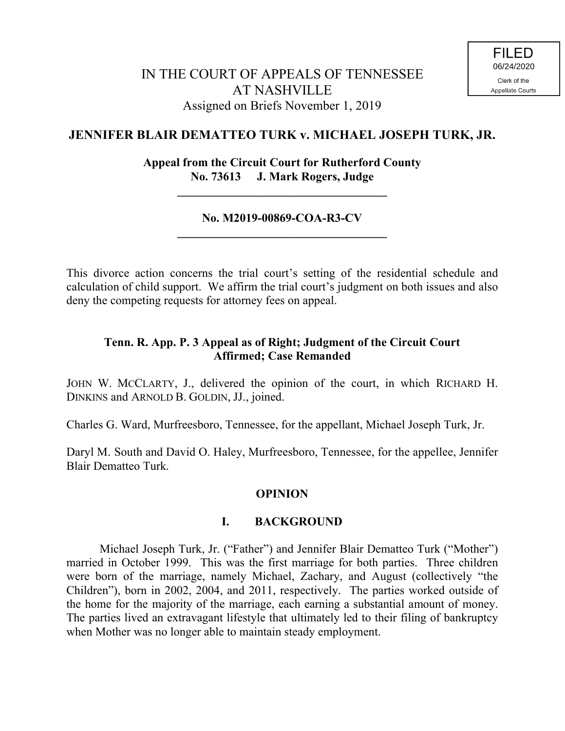# **JENNIFER BLAIR DEMATTEO TURK v. MICHAEL JOSEPH TURK, JR.**

## **Appeal from the Circuit Court for Rutherford County No. 73613 J. Mark Rogers, Judge**

**\_\_\_\_\_\_\_\_\_\_\_\_\_\_\_\_\_\_\_\_\_\_\_\_\_\_\_\_\_\_\_\_\_\_\_**

## **No. M2019-00869-COA-R3-CV \_\_\_\_\_\_\_\_\_\_\_\_\_\_\_\_\_\_\_\_\_\_\_\_\_\_\_\_\_\_\_\_\_\_\_**

This divorce action concerns the trial court's setting of the residential schedule and calculation of child support. We affirm the trial court's judgment on both issues and also deny the competing requests for attorney fees on appeal.

## **Tenn. R. App. P. 3 Appeal as of Right; Judgment of the Circuit Court Affirmed; Case Remanded**

JOHN W. MCCLARTY, J., delivered the opinion of the court, in which RICHARD H. DINKINS and ARNOLD B. GOLDIN, JJ., joined.

Charles G. Ward, Murfreesboro, Tennessee, for the appellant, Michael Joseph Turk, Jr.

Daryl M. South and David O. Haley, Murfreesboro, Tennessee, for the appellee, Jennifer Blair Dematteo Turk.

## **OPINION**

## **I. BACKGROUND**

Michael Joseph Turk, Jr. ("Father") and Jennifer Blair Dematteo Turk ("Mother") married in October 1999. This was the first marriage for both parties. Three children were born of the marriage, namely Michael, Zachary, and August (collectively "the Children"), born in 2002, 2004, and 2011, respectively. The parties worked outside of the home for the majority of the marriage, each earning a substantial amount of money. The parties lived an extravagant lifestyle that ultimately led to their filing of bankruptcy when Mother was no longer able to maintain steady employment.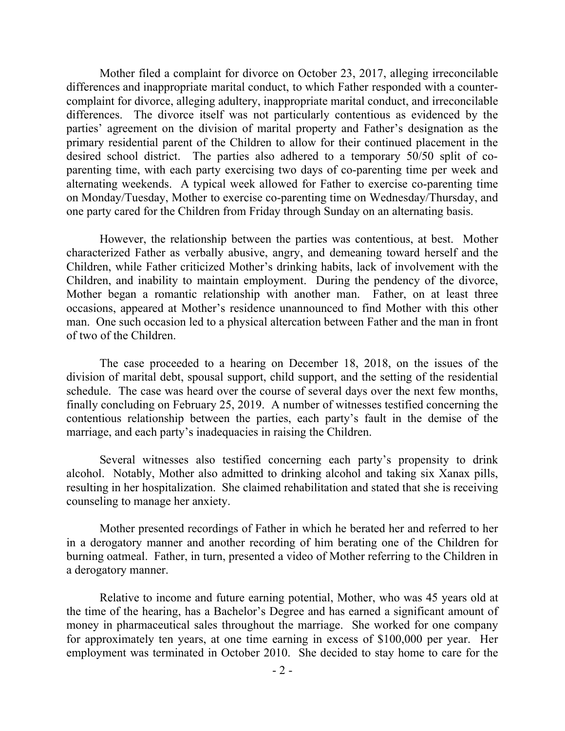Mother filed a complaint for divorce on October 23, 2017, alleging irreconcilable differences and inappropriate marital conduct, to which Father responded with a countercomplaint for divorce, alleging adultery, inappropriate marital conduct, and irreconcilable differences. The divorce itself was not particularly contentious as evidenced by the parties' agreement on the division of marital property and Father's designation as the primary residential parent of the Children to allow for their continued placement in the desired school district. The parties also adhered to a temporary 50/50 split of coparenting time, with each party exercising two days of co-parenting time per week and alternating weekends. A typical week allowed for Father to exercise co-parenting time on Monday/Tuesday, Mother to exercise co-parenting time on Wednesday/Thursday, and one party cared for the Children from Friday through Sunday on an alternating basis.

However, the relationship between the parties was contentious, at best. Mother characterized Father as verbally abusive, angry, and demeaning toward herself and the Children, while Father criticized Mother's drinking habits, lack of involvement with the Children, and inability to maintain employment. During the pendency of the divorce, Mother began a romantic relationship with another man. Father, on at least three occasions, appeared at Mother's residence unannounced to find Mother with this other man. One such occasion led to a physical altercation between Father and the man in front of two of the Children.

The case proceeded to a hearing on December 18, 2018, on the issues of the division of marital debt, spousal support, child support, and the setting of the residential schedule. The case was heard over the course of several days over the next few months, finally concluding on February 25, 2019. A number of witnesses testified concerning the contentious relationship between the parties, each party's fault in the demise of the marriage, and each party's inadequacies in raising the Children.

Several witnesses also testified concerning each party's propensity to drink alcohol. Notably, Mother also admitted to drinking alcohol and taking six Xanax pills, resulting in her hospitalization. She claimed rehabilitation and stated that she is receiving counseling to manage her anxiety.

Mother presented recordings of Father in which he berated her and referred to her in a derogatory manner and another recording of him berating one of the Children for burning oatmeal. Father, in turn, presented a video of Mother referring to the Children in a derogatory manner.

Relative to income and future earning potential, Mother, who was 45 years old at the time of the hearing, has a Bachelor's Degree and has earned a significant amount of money in pharmaceutical sales throughout the marriage. She worked for one company for approximately ten years, at one time earning in excess of \$100,000 per year. Her employment was terminated in October 2010. She decided to stay home to care for the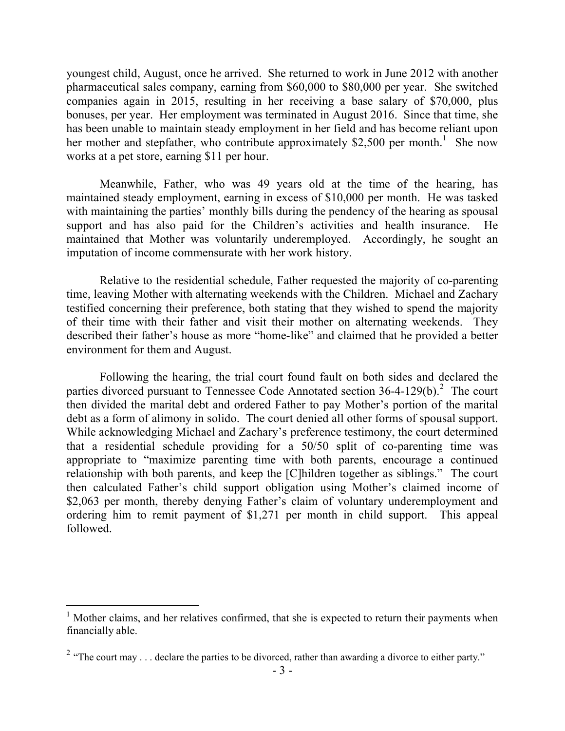youngest child, August, once he arrived. She returned to work in June 2012 with another pharmaceutical sales company, earning from \$60,000 to \$80,000 per year. She switched companies again in 2015, resulting in her receiving a base salary of \$70,000, plus bonuses, per year. Her employment was terminated in August 2016. Since that time, she has been unable to maintain steady employment in her field and has become reliant upon her mother and stepfather, who contribute approximately \$2,500 per month.<sup>1</sup> She now works at a pet store, earning \$11 per hour.

Meanwhile, Father, who was 49 years old at the time of the hearing, has maintained steady employment, earning in excess of \$10,000 per month. He was tasked with maintaining the parties' monthly bills during the pendency of the hearing as spousal support and has also paid for the Children's activities and health insurance. He maintained that Mother was voluntarily underemployed. Accordingly, he sought an imputation of income commensurate with her work history.

Relative to the residential schedule, Father requested the majority of co-parenting time, leaving Mother with alternating weekends with the Children. Michael and Zachary testified concerning their preference, both stating that they wished to spend the majority of their time with their father and visit their mother on alternating weekends. They described their father's house as more "home-like" and claimed that he provided a better environment for them and August.

Following the hearing, the trial court found fault on both sides and declared the parties divorced pursuant to Tennessee Code Annotated section 36-4-129(b).<sup>2</sup> The court then divided the marital debt and ordered Father to pay Mother's portion of the marital debt as a form of alimony in solido. The court denied all other forms of spousal support. While acknowledging Michael and Zachary's preference testimony, the court determined that a residential schedule providing for a 50/50 split of co-parenting time was appropriate to "maximize parenting time with both parents, encourage a continued relationship with both parents, and keep the [C]hildren together as siblings." The court then calculated Father's child support obligation using Mother's claimed income of \$2,063 per month, thereby denying Father's claim of voluntary underemployment and ordering him to remit payment of \$1,271 per month in child support. This appeal followed.

 $\overline{a}$ 

 $<sup>1</sup>$  Mother claims, and her relatives confirmed, that she is expected to return their payments when</sup> financially able.

<sup>&</sup>lt;sup>2</sup> "The court may . . . declare the parties to be divorced, rather than awarding a divorce to either party."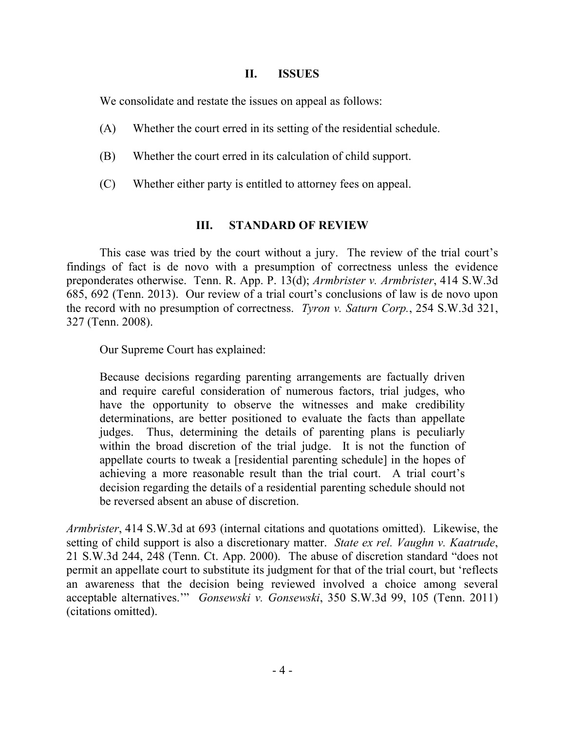## **II. ISSUES**

We consolidate and restate the issues on appeal as follows:

- (A) Whether the court erred in its setting of the residential schedule.
- (B) Whether the court erred in its calculation of child support.
- (C) Whether either party is entitled to attorney fees on appeal.

# **III. STANDARD OF REVIEW**

This case was tried by the court without a jury. The review of the trial court's findings of fact is de novo with a presumption of correctness unless the evidence preponderates otherwise. Tenn. R. App. P. 13(d); *Armbrister v. Armbrister*, 414 S.W.3d 685, 692 (Tenn. 2013). Our review of a trial court's conclusions of law is de novo upon the record with no presumption of correctness. *Tyron v. Saturn Corp.*, 254 S.W.3d 321, 327 (Tenn. 2008).

Our Supreme Court has explained:

Because decisions regarding parenting arrangements are factually driven and require careful consideration of numerous factors, trial judges, who have the opportunity to observe the witnesses and make credibility determinations, are better positioned to evaluate the facts than appellate judges. Thus, determining the details of parenting plans is peculiarly within the broad discretion of the trial judge. It is not the function of appellate courts to tweak a [residential parenting schedule] in the hopes of achieving a more reasonable result than the trial court. A trial court's decision regarding the details of a residential parenting schedule should not be reversed absent an abuse of discretion.

*Armbrister*, 414 S.W.3d at 693 (internal citations and quotations omitted). Likewise, the setting of child support is also a discretionary matter. *State ex rel. Vaughn v. Kaatrude*, 21 S.W.3d 244, 248 (Tenn. Ct. App. 2000). The abuse of discretion standard "does not permit an appellate court to substitute its judgment for that of the trial court, but 'reflects an awareness that the decision being reviewed involved a choice among several acceptable alternatives.'" *Gonsewski v. Gonsewski*, 350 S.W.3d 99, 105 (Tenn. 2011) (citations omitted).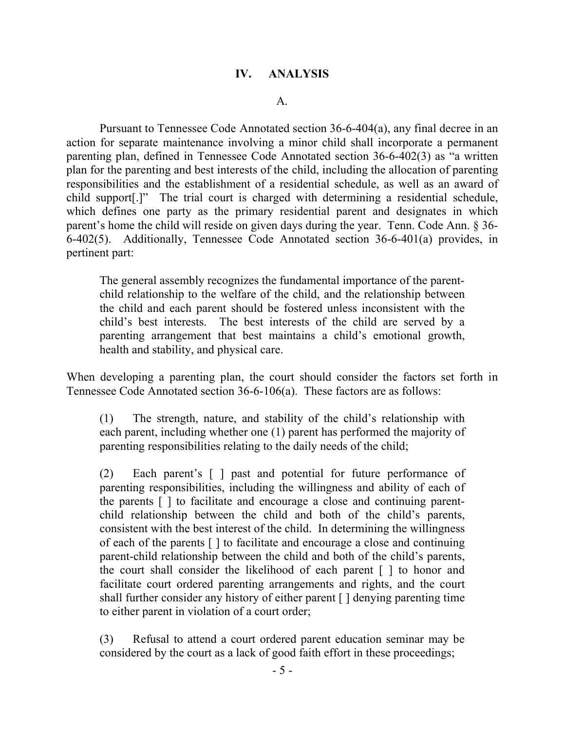## **IV. ANALYSIS**

#### A.

Pursuant to Tennessee Code Annotated section 36-6-404(a), any final decree in an action for separate maintenance involving a minor child shall incorporate a permanent parenting plan, defined in Tennessee Code Annotated section 36-6-402(3) as "a written plan for the parenting and best interests of the child, including the allocation of parenting responsibilities and the establishment of a residential schedule, as well as an award of child support[.]" The trial court is charged with determining a residential schedule, which defines one party as the primary residential parent and designates in which parent's home the child will reside on given days during the year. Tenn. Code Ann. § 36- 6-402(5). Additionally, Tennessee Code Annotated section 36-6-401(a) provides, in pertinent part:

The general assembly recognizes the fundamental importance of the parentchild relationship to the welfare of the child, and the relationship between the child and each parent should be fostered unless inconsistent with the child's best interests. The best interests of the child are served by a parenting arrangement that best maintains a child's emotional growth, health and stability, and physical care.

When developing a parenting plan, the court should consider the factors set forth in Tennessee Code Annotated section 36-6-106(a). These factors are as follows:

(1) The strength, nature, and stability of the child's relationship with each parent, including whether one (1) parent has performed the majority of parenting responsibilities relating to the daily needs of the child;

(2) Each parent's [ ] past and potential for future performance of parenting responsibilities, including the willingness and ability of each of the parents [ ] to facilitate and encourage a close and continuing parentchild relationship between the child and both of the child's parents, consistent with the best interest of the child. In determining the willingness of each of the parents [ ] to facilitate and encourage a close and continuing parent-child relationship between the child and both of the child's parents, the court shall consider the likelihood of each parent [ ] to honor and facilitate court ordered parenting arrangements and rights, and the court shall further consider any history of either parent [ ] denying parenting time to either parent in violation of a court order;

(3) Refusal to attend a court ordered parent education seminar may be considered by the court as a lack of good faith effort in these proceedings;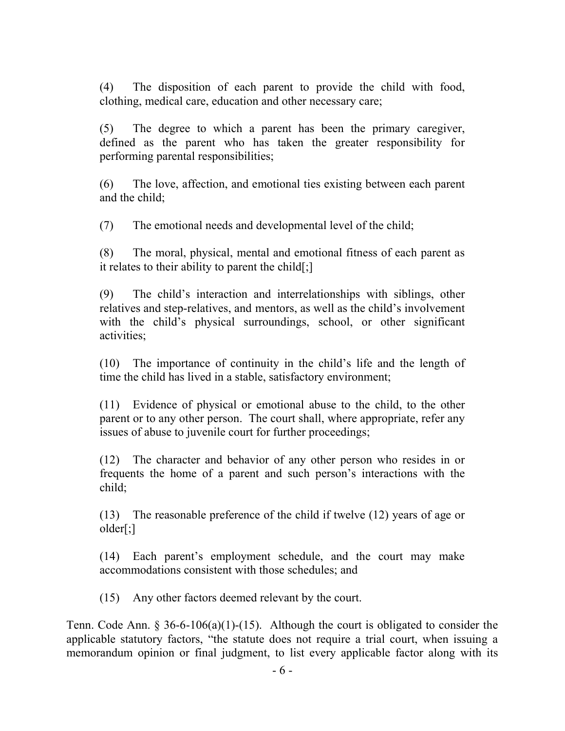(4) The disposition of each parent to provide the child with food, clothing, medical care, education and other necessary care;

(5) The degree to which a parent has been the primary caregiver, defined as the parent who has taken the greater responsibility for performing parental responsibilities;

(6) The love, affection, and emotional ties existing between each parent and the child;

(7) The emotional needs and developmental level of the child;

(8) The moral, physical, mental and emotional fitness of each parent as it relates to their ability to parent the child[;]

(9) The child's interaction and interrelationships with siblings, other relatives and step-relatives, and mentors, as well as the child's involvement with the child's physical surroundings, school, or other significant activities;

(10) The importance of continuity in the child's life and the length of time the child has lived in a stable, satisfactory environment;

(11) Evidence of physical or emotional abuse to the child, to the other parent or to any other person. The court shall, where appropriate, refer any issues of abuse to juvenile court for further proceedings;

(12) The character and behavior of any other person who resides in or frequents the home of a parent and such person's interactions with the child;

(13) The reasonable preference of the child if twelve (12) years of age or older[;]

(14) Each parent's employment schedule, and the court may make accommodations consistent with those schedules; and

(15) Any other factors deemed relevant by the court.

Tenn. Code Ann. § 36-6-106(a)(1)-(15). Although the court is obligated to consider the applicable statutory factors, "the statute does not require a trial court, when issuing a memorandum opinion or final judgment, to list every applicable factor along with its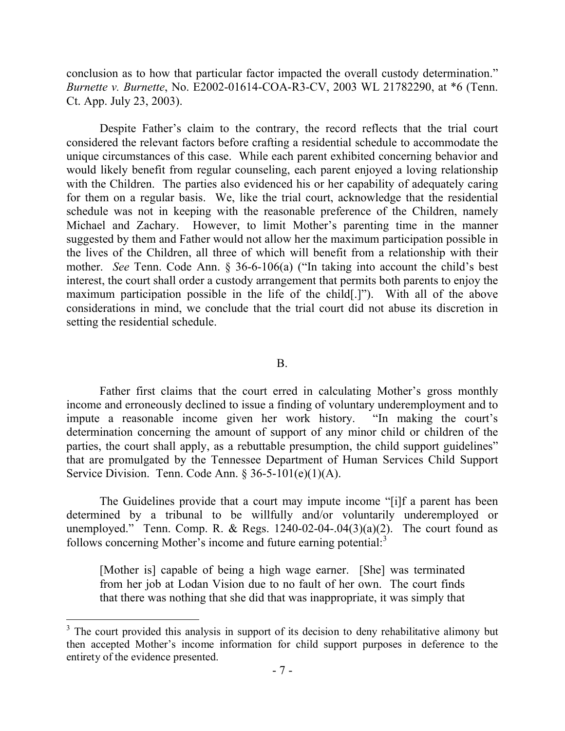conclusion as to how that particular factor impacted the overall custody determination." *Burnette v. Burnette*, No. E2002-01614-COA-R3-CV, 2003 WL 21782290, at \*6 (Tenn. Ct. App. July 23, 2003).

Despite Father's claim to the contrary, the record reflects that the trial court considered the relevant factors before crafting a residential schedule to accommodate the unique circumstances of this case. While each parent exhibited concerning behavior and would likely benefit from regular counseling, each parent enjoyed a loving relationship with the Children. The parties also evidenced his or her capability of adequately caring for them on a regular basis. We, like the trial court, acknowledge that the residential schedule was not in keeping with the reasonable preference of the Children, namely Michael and Zachary. However, to limit Mother's parenting time in the manner suggested by them and Father would not allow her the maximum participation possible in the lives of the Children, all three of which will benefit from a relationship with their mother. *See* Tenn. Code Ann. § 36-6-106(a) ("In taking into account the child's best interest, the court shall order a custody arrangement that permits both parents to enjoy the maximum participation possible in the life of the child[.]"). With all of the above considerations in mind, we conclude that the trial court did not abuse its discretion in setting the residential schedule.

#### B.

Father first claims that the court erred in calculating Mother's gross monthly income and erroneously declined to issue a finding of voluntary underemployment and to impute a reasonable income given her work history. "In making the court's determination concerning the amount of support of any minor child or children of the parties, the court shall apply, as a rebuttable presumption, the child support guidelines" that are promulgated by the Tennessee Department of Human Services Child Support Service Division. Tenn. Code Ann.  $\S 36-5-101(e)(1)(A)$ .

The Guidelines provide that a court may impute income "[i]f a parent has been determined by a tribunal to be willfully and/or voluntarily underemployed or unemployed." Tenn. Comp. R. & Regs.  $1240-02-04-04(3)(a)(2)$ . The court found as follows concerning Mother's income and future earning potential:<sup>3</sup>

[Mother is] capable of being a high wage earner. [She] was terminated from her job at Lodan Vision due to no fault of her own. The court finds that there was nothing that she did that was inappropriate, it was simply that

<sup>&</sup>lt;sup>3</sup> The court provided this analysis in support of its decision to deny rehabilitative alimony but then accepted Mother's income information for child support purposes in deference to the entirety of the evidence presented.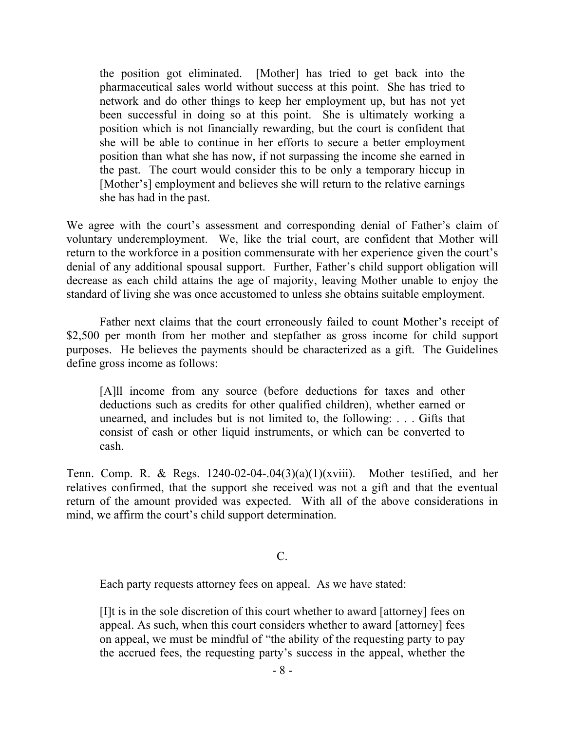the position got eliminated. [Mother] has tried to get back into the pharmaceutical sales world without success at this point. She has tried to network and do other things to keep her employment up, but has not yet been successful in doing so at this point. She is ultimately working a position which is not financially rewarding, but the court is confident that she will be able to continue in her efforts to secure a better employment position than what she has now, if not surpassing the income she earned in the past. The court would consider this to be only a temporary hiccup in [Mother's] employment and believes she will return to the relative earnings she has had in the past.

We agree with the court's assessment and corresponding denial of Father's claim of voluntary underemployment. We, like the trial court, are confident that Mother will return to the workforce in a position commensurate with her experience given the court's denial of any additional spousal support. Further, Father's child support obligation will decrease as each child attains the age of majority, leaving Mother unable to enjoy the standard of living she was once accustomed to unless she obtains suitable employment.

Father next claims that the court erroneously failed to count Mother's receipt of \$2,500 per month from her mother and stepfather as gross income for child support purposes. He believes the payments should be characterized as a gift. The Guidelines define gross income as follows:

[A]ll income from any source (before deductions for taxes and other deductions such as credits for other qualified children), whether earned or unearned, and includes but is not limited to, the following: . . . Gifts that consist of cash or other liquid instruments, or which can be converted to cash.

Tenn. Comp. R. & Regs.  $1240-02-04-.04(3)(a)(1)(xviii)$ . Mother testified, and her relatives confirmed, that the support she received was not a gift and that the eventual return of the amount provided was expected. With all of the above considerations in mind, we affirm the court's child support determination.

## C.

Each party requests attorney fees on appeal. As we have stated:

[I]t is in the sole discretion of this court whether to award [attorney] fees on appeal. As such, when this court considers whether to award [attorney] fees on appeal, we must be mindful of "the ability of the requesting party to pay the accrued fees, the requesting party's success in the appeal, whether the